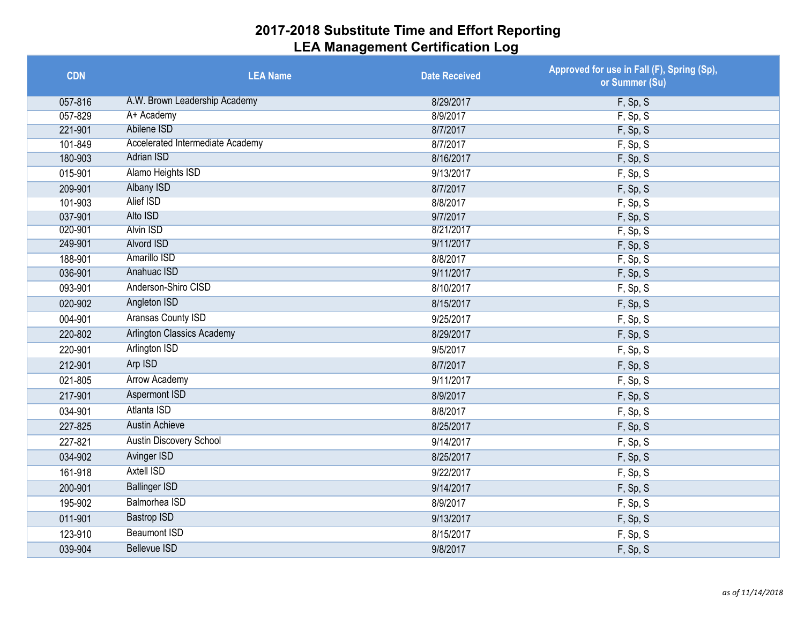| <b>CDN</b> | <b>LEA Name</b>                         | <b>Date Received</b> | Approved for use in Fall (F), Spring (Sp),<br>or Summer (Su) |
|------------|-----------------------------------------|----------------------|--------------------------------------------------------------|
| 057-816    | A.W. Brown Leadership Academy           | 8/29/2017            | F, Sp, S                                                     |
| 057-829    | A+ Academy                              | 8/9/2017             | F, Sp, S                                                     |
| 221-901    | Abilene ISD                             | 8/7/2017             | F, Sp, S                                                     |
| 101-849    | <b>Accelerated Intermediate Academy</b> | 8/7/2017             | F, Sp, S                                                     |
| 180-903    | <b>Adrian ISD</b>                       | 8/16/2017            | F, Sp, S                                                     |
| 015-901    | Alamo Heights ISD                       | 9/13/2017            | F, Sp, S                                                     |
| 209-901    | <b>Albany ISD</b>                       | 8/7/2017             | F, Sp, S                                                     |
| 101-903    | <b>Alief ISD</b>                        | 8/8/2017             | F, Sp, S                                                     |
| 037-901    | Alto ISD                                | 9/7/2017             | F, Sp, S                                                     |
| 020-901    | <b>Alvin ISD</b>                        | 8/21/2017            | F, Sp, S                                                     |
| 249-901    | <b>Alvord ISD</b>                       | 9/11/2017            | F, Sp, S                                                     |
| 188-901    | <b>Amarillo ISD</b>                     | 8/8/2017             | F, Sp, S                                                     |
| 036-901    | Anahuac ISD                             | 9/11/2017            | F, Sp, S                                                     |
| 093-901    | Anderson-Shiro CISD                     | 8/10/2017            | F, Sp, S                                                     |
| 020-902    | Angleton ISD                            | 8/15/2017            | F, Sp, S                                                     |
| 004-901    | Aransas County ISD                      | 9/25/2017            | F, Sp, S                                                     |
| 220-802    | <b>Arlington Classics Academy</b>       | 8/29/2017            | F, Sp, S                                                     |
| 220-901    | <b>Arlington ISD</b>                    | 9/5/2017             | F, Sp, S                                                     |
| 212-901    | Arp ISD                                 | 8/7/2017             | F, Sp, S                                                     |
| 021-805    | <b>Arrow Academy</b>                    | 9/11/2017            | F, Sp, S                                                     |
| 217-901    | <b>Aspermont ISD</b>                    | 8/9/2017             | F, Sp, S                                                     |
| 034-901    | Atlanta ISD                             | 8/8/2017             | F, Sp, S                                                     |
| 227-825    | <b>Austin Achieve</b>                   | 8/25/2017            | F, Sp, S                                                     |
| 227-821    | Austin Discovery School                 | 9/14/2017            | F, Sp, S                                                     |
| 034-902    | <b>Avinger ISD</b>                      | 8/25/2017            | F, Sp, S                                                     |
| 161-918    | <b>Axtell ISD</b>                       | 9/22/2017            | F, Sp, S                                                     |
| 200-901    | <b>Ballinger ISD</b>                    | 9/14/2017            | F, Sp, S                                                     |
| 195-902    | Balmorhea ISD                           | 8/9/2017             | F, Sp, S                                                     |
| 011-901    | <b>Bastrop ISD</b>                      | 9/13/2017            | F, Sp, S                                                     |
| 123-910    | <b>Beaumont ISD</b>                     | 8/15/2017            | F, Sp, S                                                     |
| 039-904    | <b>Bellevue ISD</b>                     | 9/8/2017             | F, Sp, S                                                     |
|            |                                         |                      |                                                              |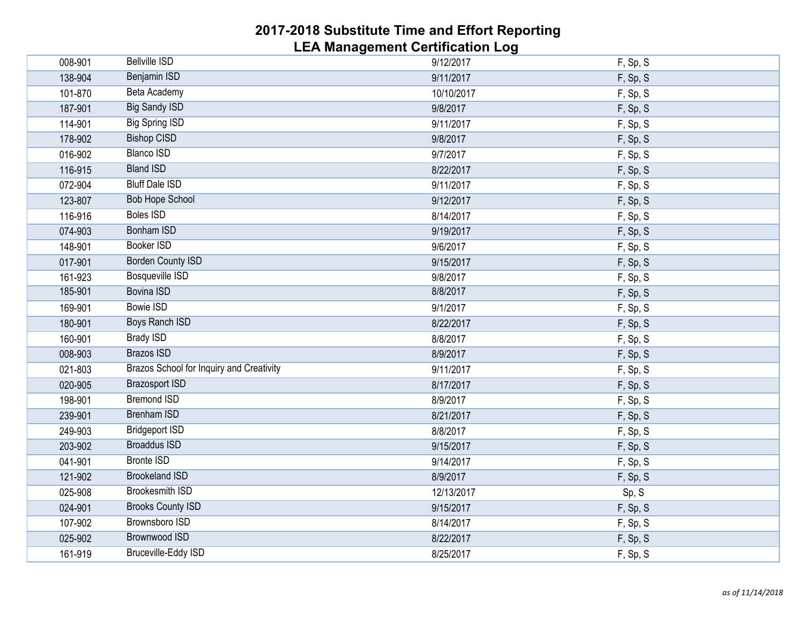| 008-901 | <b>Bellville ISD</b>                     | 9/12/2017  | F, Sp, S |
|---------|------------------------------------------|------------|----------|
| 138-904 | Benjamin ISD                             | 9/11/2017  | F, Sp, S |
| 101-870 | Beta Academy                             | 10/10/2017 | F, Sp, S |
| 187-901 | <b>Big Sandy ISD</b>                     | 9/8/2017   | F, Sp, S |
| 114-901 | <b>Big Spring ISD</b>                    | 9/11/2017  | F, Sp, S |
| 178-902 | <b>Bishop CISD</b>                       | 9/8/2017   | F, Sp, S |
| 016-902 | <b>Blanco ISD</b>                        | 9/7/2017   | F, Sp, S |
| 116-915 | <b>Bland ISD</b>                         | 8/22/2017  | F, Sp, S |
| 072-904 | <b>Bluff Dale ISD</b>                    | 9/11/2017  | F, Sp, S |
| 123-807 | <b>Bob Hope School</b>                   | 9/12/2017  | F, Sp, S |
| 116-916 | <b>Boles ISD</b>                         | 8/14/2017  | F, Sp, S |
| 074-903 | <b>Bonham ISD</b>                        | 9/19/2017  | F, Sp, S |
| 148-901 | <b>Booker ISD</b>                        | 9/6/2017   | F, Sp, S |
| 017-901 | <b>Borden County ISD</b>                 | 9/15/2017  | F, Sp, S |
| 161-923 | <b>Bosqueville ISD</b>                   | 9/8/2017   | F, Sp, S |
| 185-901 | <b>Bovina ISD</b>                        | 8/8/2017   | F, Sp, S |
| 169-901 | <b>Bowie ISD</b>                         | 9/1/2017   | F, Sp, S |
| 180-901 | <b>Boys Ranch ISD</b>                    | 8/22/2017  | F, Sp, S |
| 160-901 | <b>Brady ISD</b>                         | 8/8/2017   | F, Sp, S |
| 008-903 | <b>Brazos ISD</b>                        | 8/9/2017   | F, Sp, S |
| 021-803 | Brazos School for Inquiry and Creativity | 9/11/2017  | F, Sp, S |
| 020-905 | <b>Brazosport ISD</b>                    | 8/17/2017  | F, Sp, S |
| 198-901 | <b>Bremond ISD</b>                       | 8/9/2017   | F, Sp, S |
| 239-901 | <b>Brenham ISD</b>                       | 8/21/2017  | F, Sp, S |
| 249-903 | <b>Bridgeport ISD</b>                    | 8/8/2017   | F, Sp, S |
| 203-902 | <b>Broaddus ISD</b>                      | 9/15/2017  | F, Sp, S |
| 041-901 | <b>Bronte ISD</b>                        | 9/14/2017  | F, Sp, S |
| 121-902 | <b>Brookeland ISD</b>                    | 8/9/2017   | F, Sp, S |
| 025-908 | <b>Brookesmith ISD</b>                   | 12/13/2017 | Sp, S    |
| 024-901 | <b>Brooks County ISD</b>                 | 9/15/2017  | F, Sp, S |
| 107-902 | <b>Brownsboro ISD</b>                    | 8/14/2017  | F, Sp, S |
| 025-902 | <b>Brownwood ISD</b>                     | 8/22/2017  | F, Sp, S |
| 161-919 | Bruceville-Eddy ISD                      | 8/25/2017  | F, Sp, S |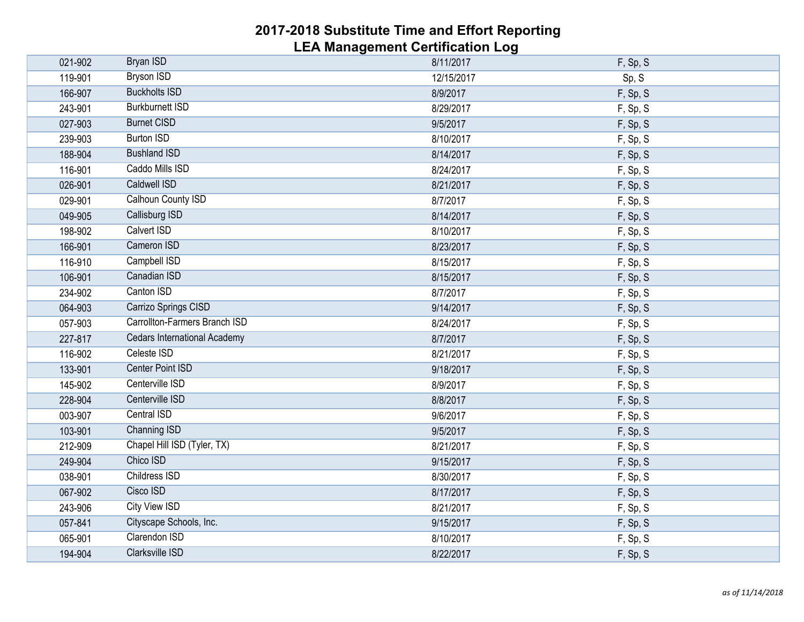| 021-902 | <b>Bryan ISD</b>                    | 8/11/2017  | F, Sp, S |
|---------|-------------------------------------|------------|----------|
| 119-901 | <b>Bryson ISD</b>                   | 12/15/2017 | Sp, S    |
| 166-907 | <b>Buckholts ISD</b>                | 8/9/2017   | F, Sp, S |
| 243-901 | <b>Burkburnett ISD</b>              | 8/29/2017  | F, Sp, S |
| 027-903 | <b>Burnet CISD</b>                  | 9/5/2017   | F, Sp, S |
| 239-903 | <b>Burton ISD</b>                   | 8/10/2017  | F, Sp, S |
| 188-904 | <b>Bushland ISD</b>                 | 8/14/2017  | F, Sp, S |
| 116-901 | Caddo Mills ISD                     | 8/24/2017  | F, Sp, S |
| 026-901 | <b>Caldwell ISD</b>                 | 8/21/2017  | F, Sp, S |
| 029-901 | Calhoun County ISD                  | 8/7/2017   | F, Sp, S |
| 049-905 | Callisburg ISD                      | 8/14/2017  | F, Sp, S |
| 198-902 | Calvert ISD                         | 8/10/2017  | F, Sp, S |
| 166-901 | Cameron ISD                         | 8/23/2017  | F, Sp, S |
| 116-910 | Campbell ISD                        | 8/15/2017  | F, Sp, S |
| 106-901 | Canadian ISD                        | 8/15/2017  | F, Sp, S |
| 234-902 | Canton ISD                          | 8/7/2017   | F, Sp, S |
| 064-903 | Carrizo Springs CISD                | 9/14/2017  | F, Sp, S |
| 057-903 | Carrollton-Farmers Branch ISD       | 8/24/2017  | F, Sp, S |
| 227-817 | <b>Cedars International Academy</b> | 8/7/2017   | F, Sp, S |
| 116-902 | Celeste ISD                         | 8/21/2017  | F, Sp, S |
| 133-901 | <b>Center Point ISD</b>             | 9/18/2017  | F, Sp, S |
| 145-902 | Centerville ISD                     | 8/9/2017   | F, Sp, S |
| 228-904 | Centerville ISD                     | 8/8/2017   | F, Sp, S |
| 003-907 | Central ISD                         | 9/6/2017   | F, Sp, S |
| 103-901 | Channing ISD                        | 9/5/2017   | F, Sp, S |
| 212-909 | Chapel Hill ISD (Tyler, TX)         | 8/21/2017  | F, Sp, S |
| 249-904 | Chico ISD                           | 9/15/2017  | F, Sp, S |
| 038-901 | <b>Childress ISD</b>                | 8/30/2017  | F, Sp, S |
| 067-902 | Cisco ISD                           | 8/17/2017  | F, Sp, S |
| 243-906 | <b>City View ISD</b>                | 8/21/2017  | F, Sp, S |
| 057-841 | Cityscape Schools, Inc.             | 9/15/2017  | F, Sp, S |
| 065-901 | Clarendon ISD                       | 8/10/2017  | F, Sp, S |
| 194-904 | <b>Clarksville ISD</b>              | 8/22/2017  | F, Sp, S |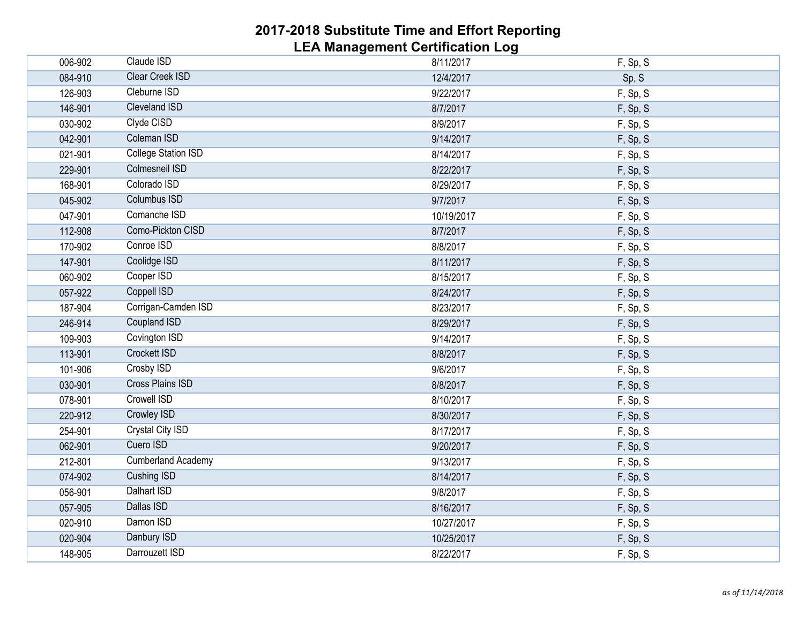| 006-902 | Claude ISD                 | 8/11/2017  | F, Sp, S |
|---------|----------------------------|------------|----------|
| 084-910 | <b>Clear Creek ISD</b>     | 12/4/2017  | Sp, S    |
| 126-903 | Cleburne ISD               | 9/22/2017  | F, Sp, S |
| 146-901 | <b>Cleveland ISD</b>       | 8/7/2017   | F, Sp, S |
| 030-902 | Clyde CISD                 | 8/9/2017   | F, Sp, S |
| 042-901 | Coleman ISD                | 9/14/2017  | F, Sp, S |
| 021-901 | <b>College Station ISD</b> | 8/14/2017  | F, Sp, S |
| 229-901 | <b>Colmesneil ISD</b>      | 8/22/2017  | F, Sp, S |
| 168-901 | Colorado ISD               | 8/29/2017  | F, Sp, S |
| 045-902 | <b>Columbus ISD</b>        | 9/7/2017   | F, Sp, S |
| 047-901 | Comanche ISD               | 10/19/2017 | F, Sp, S |
| 112-908 | Como-Pickton CISD          | 8/7/2017   | F, Sp, S |
| 170-902 | Conroe ISD                 | 8/8/2017   | F, Sp, S |
| 147-901 | Coolidge ISD               | 8/11/2017  | F, Sp, S |
| 060-902 | Cooper ISD                 | 8/15/2017  | F, Sp, S |
| 057-922 | <b>Coppell ISD</b>         | 8/24/2017  | F, Sp, S |
| 187-904 | Corrigan-Camden ISD        | 8/23/2017  | F, Sp, S |
| 246-914 | <b>Coupland ISD</b>        | 8/29/2017  | F, Sp, S |
| 109-903 | Covington ISD              | 9/14/2017  | F, Sp, S |
| 113-901 | <b>Crockett ISD</b>        | 8/8/2017   | F, Sp, S |
| 101-906 | Crosby ISD                 | 9/6/2017   | F, Sp, S |
| 030-901 | <b>Cross Plains ISD</b>    | 8/8/2017   | F, Sp, S |
| 078-901 | <b>Crowell ISD</b>         | 8/10/2017  | F, Sp, S |
| 220-912 | <b>Crowley ISD</b>         | 8/30/2017  | F, Sp, S |
| 254-901 | <b>Crystal City ISD</b>    | 8/17/2017  | F, Sp, S |
| 062-901 | Cuero ISD                  | 9/20/2017  | F, Sp, S |
| 212-801 | <b>Cumberland Academy</b>  | 9/13/2017  | F, Sp, S |
| 074-902 | <b>Cushing ISD</b>         | 8/14/2017  | F, Sp, S |
| 056-901 | Dalhart ISD                | 9/8/2017   | F, Sp, S |
| 057-905 | Dallas ISD                 | 8/16/2017  | F, Sp, S |
| 020-910 | Damon ISD                  | 10/27/2017 | F, Sp, S |
| 020-904 | Danbury ISD                | 10/25/2017 | F, Sp, S |
| 148-905 | Darrouzett ISD             | 8/22/2017  | F, Sp, S |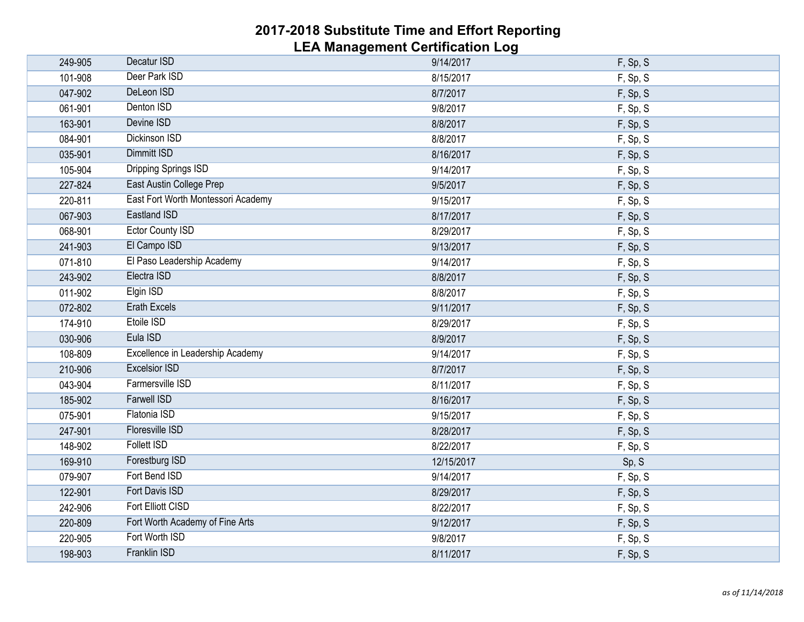| 249-905 | Decatur ISD                        | 9/14/2017  | F, Sp, S |
|---------|------------------------------------|------------|----------|
| 101-908 | Deer Park ISD                      | 8/15/2017  | F, Sp, S |
| 047-902 | DeLeon ISD                         | 8/7/2017   | F, Sp, S |
| 061-901 | Denton ISD                         | 9/8/2017   | F, Sp, S |
| 163-901 | Devine ISD                         | 8/8/2017   | F, Sp, S |
| 084-901 | <b>Dickinson ISD</b>               | 8/8/2017   | F, Sp, S |
| 035-901 | <b>Dimmitt ISD</b>                 | 8/16/2017  | F, Sp, S |
| 105-904 | <b>Dripping Springs ISD</b>        | 9/14/2017  | F, Sp, S |
| 227-824 | East Austin College Prep           | 9/5/2017   | F, Sp, S |
| 220-811 | East Fort Worth Montessori Academy | 9/15/2017  | F, Sp, S |
| 067-903 | <b>Eastland ISD</b>                | 8/17/2017  | F, Sp, S |
| 068-901 | <b>Ector County ISD</b>            | 8/29/2017  | F, Sp, S |
| 241-903 | El Campo ISD                       | 9/13/2017  | F, Sp, S |
| 071-810 | El Paso Leadership Academy         | 9/14/2017  | F, Sp, S |
| 243-902 | Electra ISD                        | 8/8/2017   | F, Sp, S |
| 011-902 | Elgin ISD                          | 8/8/2017   | F, Sp, S |
| 072-802 | <b>Erath Excels</b>                | 9/11/2017  | F, Sp, S |
| 174-910 | Etoile ISD                         | 8/29/2017  | F, Sp, S |
| 030-906 | Eula ISD                           | 8/9/2017   | F, Sp, S |
| 108-809 | Excellence in Leadership Academy   | 9/14/2017  | F, Sp, S |
| 210-906 | <b>Excelsior ISD</b>               | 8/7/2017   | F, Sp, S |
| 043-904 | Farmersville ISD                   | 8/11/2017  | F, Sp, S |
| 185-902 | <b>Farwell ISD</b>                 | 8/16/2017  | F, Sp, S |
| 075-901 | Flatonia ISD                       | 9/15/2017  | F, Sp, S |
| 247-901 | <b>Floresville ISD</b>             | 8/28/2017  | F, Sp, S |
| 148-902 | <b>Follett ISD</b>                 | 8/22/2017  | F, Sp, S |
| 169-910 | Forestburg ISD                     | 12/15/2017 | Sp, S    |
| 079-907 | Fort Bend ISD                      | 9/14/2017  | F, Sp, S |
| 122-901 | <b>Fort Davis ISD</b>              | 8/29/2017  | F, Sp, S |
| 242-906 | Fort Elliott CISD                  | 8/22/2017  | F, Sp, S |
| 220-809 | Fort Worth Academy of Fine Arts    | 9/12/2017  | F, Sp, S |
| 220-905 | Fort Worth ISD                     | 9/8/2017   | F, Sp, S |
| 198-903 | Franklin ISD                       | 8/11/2017  | F, Sp, S |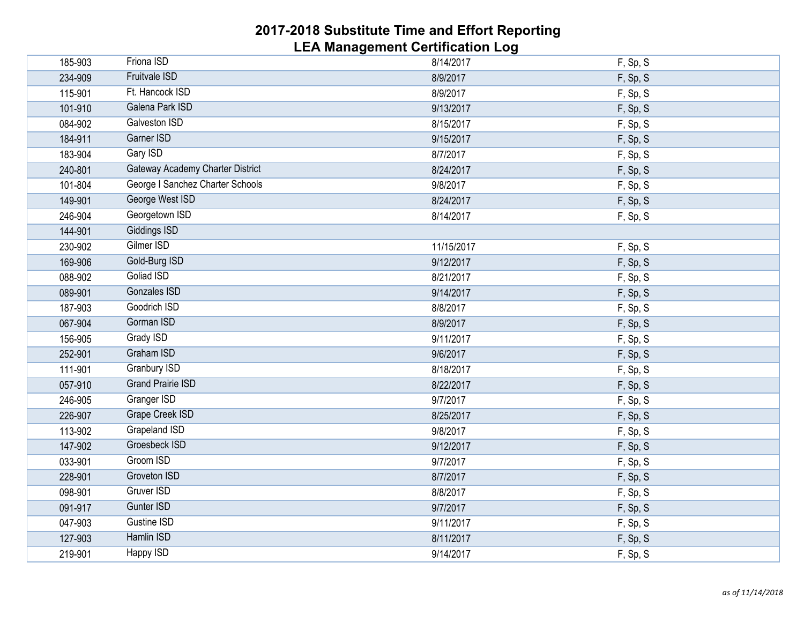| 185-903 | Friona ISD                              | 8/14/2017  | F, Sp, S |
|---------|-----------------------------------------|------------|----------|
| 234-909 | <b>Fruitvale ISD</b>                    | 8/9/2017   | F, Sp, S |
| 115-901 | Ft. Hancock ISD                         | 8/9/2017   | F, Sp, S |
| 101-910 | Galena Park ISD                         | 9/13/2017  | F, Sp, S |
| 084-902 | <b>Galveston ISD</b>                    | 8/15/2017  | F, Sp, S |
| 184-911 | Garner ISD                              | 9/15/2017  | F, Sp, S |
| 183-904 | <b>Gary ISD</b>                         | 8/7/2017   | F, Sp, S |
| 240-801 | <b>Gateway Academy Charter District</b> | 8/24/2017  | F, Sp, S |
| 101-804 | George I Sanchez Charter Schools        | 9/8/2017   | F, Sp, S |
| 149-901 | George West ISD                         | 8/24/2017  | F, Sp, S |
| 246-904 | Georgetown ISD                          | 8/14/2017  | F, Sp, S |
| 144-901 | <b>Giddings ISD</b>                     |            |          |
| 230-902 | Gilmer ISD                              | 11/15/2017 | F, Sp, S |
| 169-906 | Gold-Burg ISD                           | 9/12/2017  | F, Sp, S |
| 088-902 | <b>Goliad ISD</b>                       | 8/21/2017  | F, Sp, S |
| 089-901 | <b>Gonzales ISD</b>                     | 9/14/2017  | F, Sp, S |
| 187-903 | Goodrich ISD                            | 8/8/2017   | F, Sp, S |
| 067-904 | Gorman ISD                              | 8/9/2017   | F, Sp, S |
| 156-905 | Grady ISD                               | 9/11/2017  | F, Sp, S |
| 252-901 | Graham ISD                              | 9/6/2017   | F, Sp, S |
| 111-901 | <b>Granbury ISD</b>                     | 8/18/2017  | F, Sp, S |
| 057-910 | <b>Grand Prairie ISD</b>                | 8/22/2017  | F, Sp, S |
| 246-905 | <b>Granger ISD</b>                      | 9/7/2017   | F, Sp, S |
| 226-907 | <b>Grape Creek ISD</b>                  | 8/25/2017  | F, Sp, S |
| 113-902 | <b>Grapeland ISD</b>                    | 9/8/2017   | F, Sp, S |
| 147-902 | Groesbeck ISD                           | 9/12/2017  | F, Sp, S |
| 033-901 | Groom ISD                               | 9/7/2017   | F, Sp, S |
| 228-901 | <b>Groveton ISD</b>                     | 8/7/2017   | F, Sp, S |
| 098-901 | Gruver ISD                              | 8/8/2017   | F, Sp, S |
| 091-917 | Gunter ISD                              | 9/7/2017   | F, Sp, S |
| 047-903 | Gustine ISD                             | 9/11/2017  | F, Sp, S |
| 127-903 | Hamlin ISD                              | 8/11/2017  | F, Sp, S |
| 219-901 | <b>Happy ISD</b>                        | 9/14/2017  | F, Sp, S |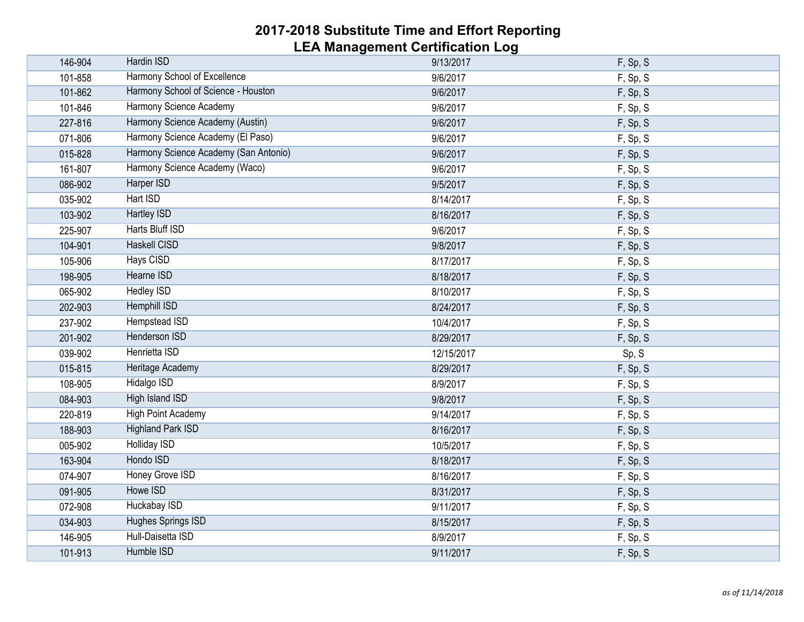| 146-904 | Hardin ISD                            | 9/13/2017  | F, Sp, S |
|---------|---------------------------------------|------------|----------|
| 101-858 | Harmony School of Excellence          | 9/6/2017   | F, Sp, S |
| 101-862 | Harmony School of Science - Houston   | 9/6/2017   | F, Sp, S |
| 101-846 | Harmony Science Academy               | 9/6/2017   | F, Sp, S |
| 227-816 | Harmony Science Academy (Austin)      | 9/6/2017   | F, Sp, S |
| 071-806 | Harmony Science Academy (El Paso)     | 9/6/2017   | F, Sp, S |
| 015-828 | Harmony Science Academy (San Antonio) | 9/6/2017   | F, Sp, S |
| 161-807 | Harmony Science Academy (Waco)        | 9/6/2017   | F, Sp, S |
| 086-902 | Harper ISD                            | 9/5/2017   | F, Sp, S |
| 035-902 | Hart ISD                              | 8/14/2017  | F, Sp, S |
| 103-902 | <b>Hartley ISD</b>                    | 8/16/2017  | F, Sp, S |
| 225-907 | Harts Bluff ISD                       | 9/6/2017   | F, Sp, S |
| 104-901 | <b>Haskell CISD</b>                   | 9/8/2017   | F, Sp, S |
| 105-906 | <b>Hays CISD</b>                      | 8/17/2017  | F, Sp, S |
| 198-905 | Hearne ISD                            | 8/18/2017  | F, Sp, S |
| 065-902 | <b>Hedley ISD</b>                     | 8/10/2017  | F, Sp, S |
| 202-903 | <b>Hemphill ISD</b>                   | 8/24/2017  | F, Sp, S |
| 237-902 | Hempstead ISD                         | 10/4/2017  | F, Sp, S |
| 201-902 | Henderson ISD                         | 8/29/2017  | F, Sp, S |
| 039-902 | Henrietta ISD                         | 12/15/2017 | Sp, S    |
| 015-815 | Heritage Academy                      | 8/29/2017  | F, Sp, S |
| 108-905 | <b>Hidalgo ISD</b>                    | 8/9/2017   | F, Sp, S |
| 084-903 | <b>High Island ISD</b>                | 9/8/2017   | F, Sp, S |
| 220-819 | <b>High Point Academy</b>             | 9/14/2017  | F, Sp, S |
| 188-903 | <b>Highland Park ISD</b>              | 8/16/2017  | F, Sp, S |
| 005-902 | <b>Holliday ISD</b>                   | 10/5/2017  | F, Sp, S |
| 163-904 | Hondo ISD                             | 8/18/2017  | F, Sp, S |
| 074-907 | <b>Honey Grove ISD</b>                | 8/16/2017  | F, Sp, S |
| 091-905 | Howe ISD                              | 8/31/2017  | F, Sp, S |
| 072-908 | Huckabay ISD                          | 9/11/2017  | F, Sp, S |
| 034-903 | Hughes Springs ISD                    | 8/15/2017  | F, Sp, S |
| 146-905 | Hull-Daisetta ISD                     | 8/9/2017   | F, Sp, S |
| 101-913 | Humble ISD                            | 9/11/2017  | F, Sp, S |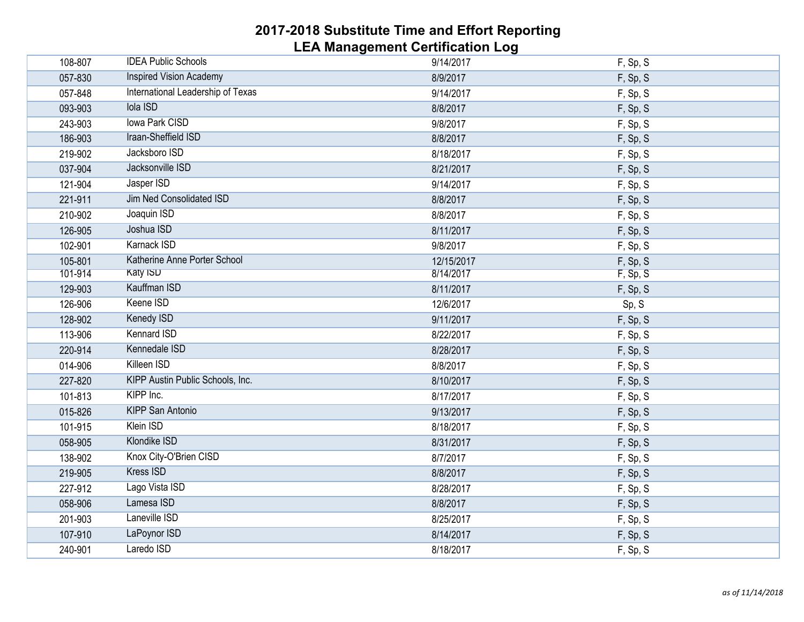| 108-807 | <b>IDEA Public Schools</b>        | 9/14/2017  | F, Sp, S |
|---------|-----------------------------------|------------|----------|
| 057-830 | <b>Inspired Vision Academy</b>    | 8/9/2017   | F, Sp, S |
| 057-848 | International Leadership of Texas | 9/14/2017  | F, Sp, S |
| 093-903 | <b>Iola ISD</b>                   | 8/8/2017   | F, Sp, S |
| 243-903 | <b>Iowa Park CISD</b>             | 9/8/2017   | F, Sp, S |
| 186-903 | Iraan-Sheffield ISD               | 8/8/2017   | F, Sp, S |
| 219-902 | Jacksboro ISD                     | 8/18/2017  | F, Sp, S |
| 037-904 | Jacksonville ISD                  | 8/21/2017  | F, Sp, S |
| 121-904 | Jasper ISD                        | 9/14/2017  | F, Sp, S |
| 221-911 | Jim Ned Consolidated ISD          | 8/8/2017   | F, Sp, S |
| 210-902 | Joaquin ISD                       | 8/8/2017   | F, Sp, S |
| 126-905 | Joshua ISD                        | 8/11/2017  | F, Sp, S |
| 102-901 | <b>Karnack ISD</b>                | 9/8/2017   | F, Sp, S |
| 105-801 | Katherine Anne Porter School      | 12/15/2017 | F, Sp, S |
| 101-914 | <b>Katy ISD</b>                   | 8/14/2017  | F, Sp, S |
| 129-903 | Kauffman ISD                      | 8/11/2017  | F, Sp, S |
| 126-906 | Keene ISD                         | 12/6/2017  | Sp, S    |
| 128-902 | <b>Kenedy ISD</b>                 | 9/11/2017  | F, Sp, S |
| 113-906 | <b>Kennard ISD</b>                | 8/22/2017  | F, Sp, S |
| 220-914 | Kennedale ISD                     | 8/28/2017  | F, Sp, S |
| 014-906 | Killeen ISD                       | 8/8/2017   | F, Sp, S |
| 227-820 | KIPP Austin Public Schools, Inc.  | 8/10/2017  | F, Sp, S |
| 101-813 | KIPP Inc.                         | 8/17/2017  | F, Sp, S |
| 015-826 | <b>KIPP San Antonio</b>           | 9/13/2017  | F, Sp, S |
| 101-915 | Klein ISD                         | 8/18/2017  | F, Sp, S |
| 058-905 | Klondike ISD                      | 8/31/2017  | F, Sp, S |
| 138-902 | Knox City-O'Brien CISD            | 8/7/2017   | F, Sp, S |
| 219-905 | <b>Kress ISD</b>                  | 8/8/2017   | F, Sp, S |
| 227-912 | Lago Vista ISD                    | 8/28/2017  | F, Sp, S |
| 058-906 | Lamesa ISD                        | 8/8/2017   | F, Sp, S |
| 201-903 | Laneville ISD                     | 8/25/2017  | F, Sp, S |
| 107-910 | LaPoynor ISD                      | 8/14/2017  | F, Sp, S |
| 240-901 | Laredo ISD                        | 8/18/2017  | F, Sp, S |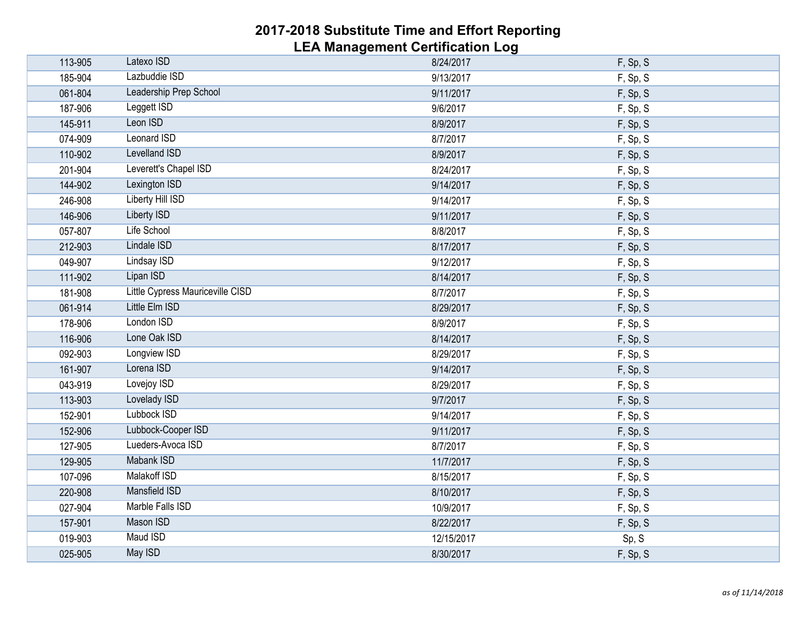| 113-905 | Latexo ISD                       | 8/24/2017  | F, Sp, S |
|---------|----------------------------------|------------|----------|
| 185-904 | Lazbuddie ISD                    | 9/13/2017  | F, Sp, S |
| 061-804 | Leadership Prep School           | 9/11/2017  | F, Sp, S |
| 187-906 | Leggett ISD                      | 9/6/2017   | F, Sp, S |
| 145-911 | Leon ISD                         | 8/9/2017   | F, Sp, S |
| 074-909 | <b>Leonard ISD</b>               | 8/7/2017   | F, Sp, S |
| 110-902 | <b>Levelland ISD</b>             | 8/9/2017   | F, Sp, S |
| 201-904 | Leverett's Chapel ISD            | 8/24/2017  | F, Sp, S |
| 144-902 | Lexington ISD                    | 9/14/2017  | F, Sp, S |
| 246-908 | <b>Liberty Hill ISD</b>          | 9/14/2017  | F, Sp, S |
| 146-906 | <b>Liberty ISD</b>               | 9/11/2017  | F, Sp, S |
| 057-807 | Life School                      | 8/8/2017   | F, Sp, S |
| 212-903 | Lindale ISD                      | 8/17/2017  | F, Sp, S |
| 049-907 | <b>Lindsay ISD</b>               | 9/12/2017  | F, Sp, S |
| 111-902 | Lipan ISD                        | 8/14/2017  | F, Sp, S |
| 181-908 | Little Cypress Mauriceville CISD | 8/7/2017   | F, Sp, S |
| 061-914 | Little Elm ISD                   | 8/29/2017  | F, Sp, S |
| 178-906 | London ISD                       | 8/9/2017   | F, Sp, S |
| 116-906 | Lone Oak ISD                     | 8/14/2017  | F, Sp, S |
| 092-903 | Longview ISD                     | 8/29/2017  | F, Sp, S |
| 161-907 | Lorena ISD                       | 9/14/2017  | F, Sp, S |
| 043-919 | Lovejoy ISD                      | 8/29/2017  | F, Sp, S |
| 113-903 | Lovelady ISD                     | 9/7/2017   | F, Sp, S |
| 152-901 | Lubbock ISD                      | 9/14/2017  | F, Sp, S |
| 152-906 | Lubbock-Cooper ISD               | 9/11/2017  | F, Sp, S |
| 127-905 | Lueders-Avoca ISD                | 8/7/2017   | F, Sp, S |
| 129-905 | <b>Mabank ISD</b>                | 11/7/2017  | F, Sp, S |
| 107-096 | Malakoff ISD                     | 8/15/2017  | F, Sp, S |
| 220-908 | <b>Mansfield ISD</b>             | 8/10/2017  | F, Sp, S |
| 027-904 | Marble Falls ISD                 | 10/9/2017  | F, Sp, S |
| 157-901 | Mason ISD                        | 8/22/2017  | F, Sp, S |
| 019-903 | <b>Maud ISD</b>                  | 12/15/2017 | Sp, S    |
| 025-905 | May ISD                          | 8/30/2017  | F, Sp, S |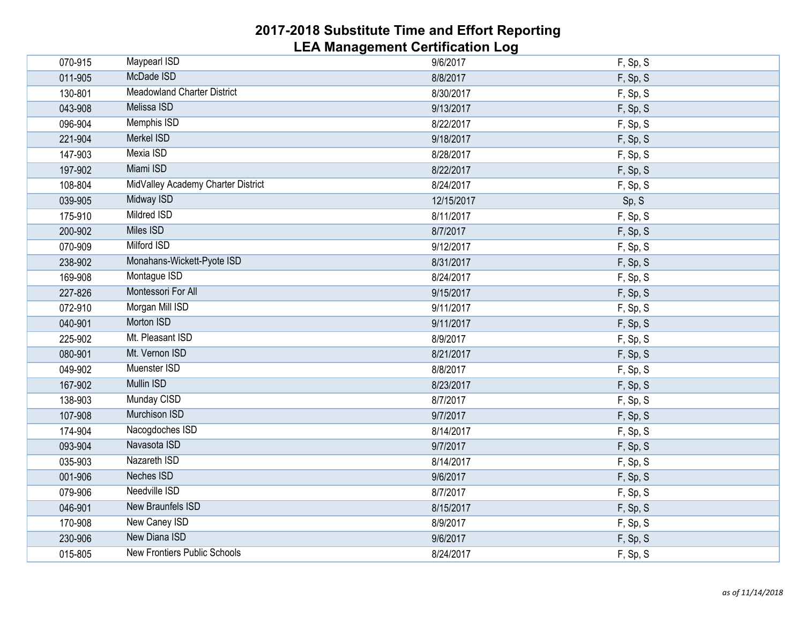| 070-915 | <b>Maypearl ISD</b>                | 9/6/2017   | F, Sp, S |
|---------|------------------------------------|------------|----------|
| 011-905 | McDade ISD                         | 8/8/2017   | F, Sp, S |
| 130-801 | <b>Meadowland Charter District</b> | 8/30/2017  | F, Sp, S |
| 043-908 | Melissa ISD                        | 9/13/2017  | F, Sp, S |
| 096-904 | <b>Memphis ISD</b>                 | 8/22/2017  | F, Sp, S |
| 221-904 | Merkel ISD                         | 9/18/2017  | F, Sp, S |
| 147-903 | Mexia ISD                          | 8/28/2017  | F, Sp, S |
| 197-902 | Miami ISD                          | 8/22/2017  | F, Sp, S |
| 108-804 | MidValley Academy Charter District | 8/24/2017  | F, Sp, S |
| 039-905 | <b>Midway ISD</b>                  | 12/15/2017 | Sp, S    |
| 175-910 | <b>Mildred ISD</b>                 | 8/11/2017  | F, Sp, S |
| 200-902 | <b>Miles ISD</b>                   | 8/7/2017   | F, Sp, S |
| 070-909 | <b>Milford ISD</b>                 | 9/12/2017  | F, Sp, S |
| 238-902 | Monahans-Wickett-Pyote ISD         | 8/31/2017  | F, Sp, S |
| 169-908 | Montague ISD                       | 8/24/2017  | F, Sp, S |
| 227-826 | Montessori For All                 | 9/15/2017  | F, Sp, S |
| 072-910 | Morgan Mill ISD                    | 9/11/2017  | F, Sp, S |
| 040-901 | Morton ISD                         | 9/11/2017  | F, Sp, S |
| 225-902 | Mt. Pleasant ISD                   | 8/9/2017   | F, Sp, S |
| 080-901 | Mt. Vernon ISD                     | 8/21/2017  | F, Sp, S |
| 049-902 | Muenster ISD                       | 8/8/2017   | F, Sp, S |
| 167-902 | <b>Mullin ISD</b>                  | 8/23/2017  | F, Sp, S |
| 138-903 | Munday CISD                        | 8/7/2017   | F, Sp, S |
| 107-908 | <b>Murchison ISD</b>               | 9/7/2017   | F, Sp, S |
| 174-904 | Nacogdoches ISD                    | 8/14/2017  | F, Sp, S |
| 093-904 | Navasota ISD                       | 9/7/2017   | F, Sp, S |
| 035-903 | Nazareth ISD                       | 8/14/2017  | F, Sp, S |
| 001-906 | <b>Neches ISD</b>                  | 9/6/2017   | F, Sp, S |
| 079-906 | Needville ISD                      | 8/7/2017   | F, Sp, S |
| 046-901 | <b>New Braunfels ISD</b>           | 8/15/2017  | F, Sp, S |
| 170-908 | New Caney ISD                      | 8/9/2017   | F, Sp, S |
| 230-906 | <b>New Diana ISD</b>               | 9/6/2017   | F, Sp, S |
| 015-805 | New Frontiers Public Schools       | 8/24/2017  | F, Sp, S |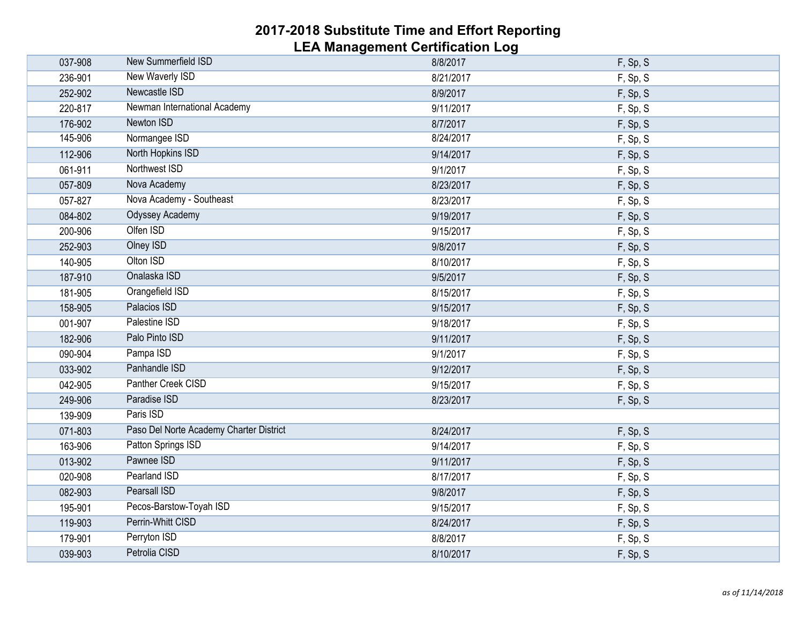| 037-908 | New Summerfield ISD                     | 8/8/2017  | F, Sp, S |
|---------|-----------------------------------------|-----------|----------|
| 236-901 | New Waverly ISD                         | 8/21/2017 | F, Sp, S |
| 252-902 | Newcastle ISD                           | 8/9/2017  | F, Sp, S |
| 220-817 | Newman International Academy            | 9/11/2017 | F, Sp, S |
| 176-902 | Newton ISD                              | 8/7/2017  | F, Sp, S |
| 145-906 | Normangee ISD                           | 8/24/2017 | F, Sp, S |
| 112-906 | North Hopkins ISD                       | 9/14/2017 | F, Sp, S |
| 061-911 | Northwest ISD                           | 9/1/2017  | F, Sp, S |
| 057-809 | Nova Academy                            | 8/23/2017 | F, Sp, S |
| 057-827 | Nova Academy - Southeast                | 8/23/2017 | F, Sp, S |
| 084-802 | <b>Odyssey Academy</b>                  | 9/19/2017 | F, Sp, S |
| 200-906 | Olfen ISD                               | 9/15/2017 | F, Sp, S |
| 252-903 | <b>Olney ISD</b>                        | 9/8/2017  | F, Sp, S |
| 140-905 | Olton ISD                               | 8/10/2017 | F, Sp, S |
| 187-910 | Onalaska ISD                            | 9/5/2017  | F, Sp, S |
| 181-905 | Orangefield ISD                         | 8/15/2017 | F, Sp, S |
| 158-905 | Palacios ISD                            | 9/15/2017 | F, Sp, S |
| 001-907 | Palestine ISD                           | 9/18/2017 | F, Sp, S |
| 182-906 | Palo Pinto ISD                          | 9/11/2017 | F, Sp, S |
| 090-904 | Pampa ISD                               | 9/1/2017  | F, Sp, S |
| 033-902 | Panhandle ISD                           | 9/12/2017 | F, Sp, S |
| 042-905 | Panther Creek CISD                      | 9/15/2017 | F, Sp, S |
| 249-906 | Paradise ISD                            | 8/23/2017 | F, Sp, S |
| 139-909 | Paris ISD                               |           |          |
| 071-803 | Paso Del Norte Academy Charter District | 8/24/2017 | F, Sp, S |
| 163-906 | Patton Springs ISD                      | 9/14/2017 | F, Sp, S |
| 013-902 | Pawnee ISD                              | 9/11/2017 | F, Sp, S |
| 020-908 | <b>Pearland ISD</b>                     | 8/17/2017 | F, Sp, S |
| 082-903 | <b>Pearsall ISD</b>                     | 9/8/2017  | F, Sp, S |
| 195-901 | Pecos-Barstow-Toyah ISD                 | 9/15/2017 | F, Sp, S |
| 119-903 | Perrin-Whitt CISD                       | 8/24/2017 | F, Sp, S |
| 179-901 | Perryton ISD                            | 8/8/2017  | F, Sp, S |
| 039-903 | Petrolia CISD                           | 8/10/2017 | F, Sp, S |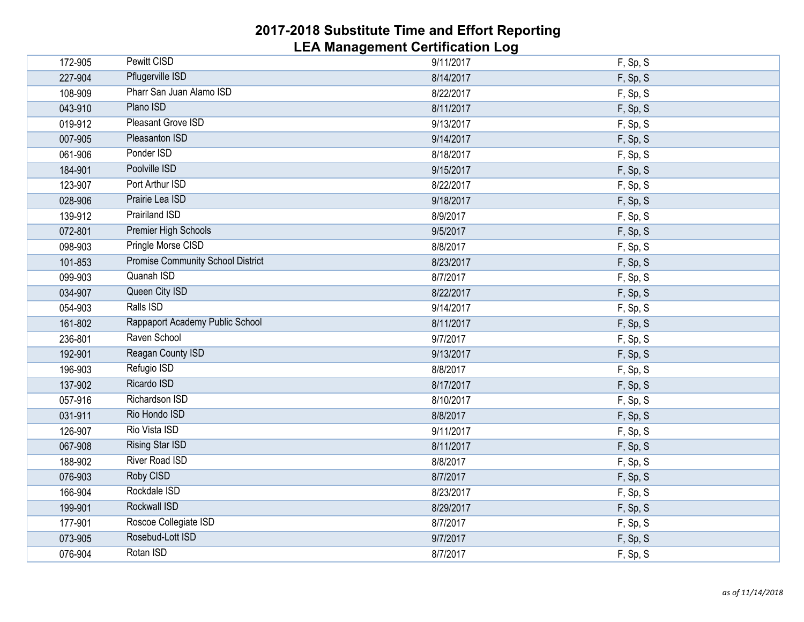| 172-905 | <b>Pewitt CISD</b>                       | 9/11/2017 | F, Sp, S |  |
|---------|------------------------------------------|-----------|----------|--|
| 227-904 | Pflugerville ISD                         | 8/14/2017 | F, Sp, S |  |
| 108-909 | Pharr San Juan Alamo ISD                 | 8/22/2017 | F, Sp, S |  |
| 043-910 | Plano ISD                                | 8/11/2017 | F, Sp, S |  |
| 019-912 | <b>Pleasant Grove ISD</b>                | 9/13/2017 | F, Sp, S |  |
| 007-905 | <b>Pleasanton ISD</b>                    | 9/14/2017 | F, Sp, S |  |
| 061-906 | Ponder ISD                               | 8/18/2017 | F, Sp, S |  |
| 184-901 | Poolville ISD                            | 9/15/2017 | F, Sp, S |  |
| 123-907 | Port Arthur ISD                          | 8/22/2017 | F, Sp, S |  |
| 028-906 | Prairie Lea ISD                          | 9/18/2017 | F, Sp, S |  |
| 139-912 | <b>Prairiland ISD</b>                    | 8/9/2017  | F, Sp, S |  |
| 072-801 | Premier High Schools                     | 9/5/2017  | F, Sp, S |  |
| 098-903 | Pringle Morse CISD                       | 8/8/2017  | F, Sp, S |  |
| 101-853 | <b>Promise Community School District</b> | 8/23/2017 | F, Sp, S |  |
| 099-903 | Quanah ISD                               | 8/7/2017  | F, Sp, S |  |
| 034-907 | Queen City ISD                           | 8/22/2017 | F, Sp, S |  |
| 054-903 | Ralls ISD                                | 9/14/2017 | F, Sp, S |  |
| 161-802 | Rappaport Academy Public School          | 8/11/2017 | F, Sp, S |  |
| 236-801 | Raven School                             | 9/7/2017  | F, Sp, S |  |
| 192-901 | Reagan County ISD                        | 9/13/2017 | F, Sp, S |  |
| 196-903 | Refugio ISD                              | 8/8/2017  | F, Sp, S |  |
| 137-902 | Ricardo ISD                              | 8/17/2017 | F, Sp, S |  |
| 057-916 | Richardson ISD                           | 8/10/2017 | F, Sp, S |  |
| 031-911 | Rio Hondo ISD                            | 8/8/2017  | F, Sp, S |  |
| 126-907 | Rio Vista ISD                            | 9/11/2017 | F, Sp, S |  |
| 067-908 | <b>Rising Star ISD</b>                   | 8/11/2017 | F, Sp, S |  |
| 188-902 | <b>River Road ISD</b>                    | 8/8/2017  | F, Sp, S |  |
| 076-903 | Roby CISD                                | 8/7/2017  | F, Sp, S |  |
| 166-904 | Rockdale ISD                             | 8/23/2017 | F, Sp, S |  |
| 199-901 | <b>Rockwall ISD</b>                      | 8/29/2017 | F, Sp, S |  |
| 177-901 | Roscoe Collegiate ISD                    | 8/7/2017  | F, Sp, S |  |
| 073-905 | Rosebud-Lott ISD                         | 9/7/2017  | F, Sp, S |  |
| 076-904 | Rotan ISD                                | 8/7/2017  | F, Sp, S |  |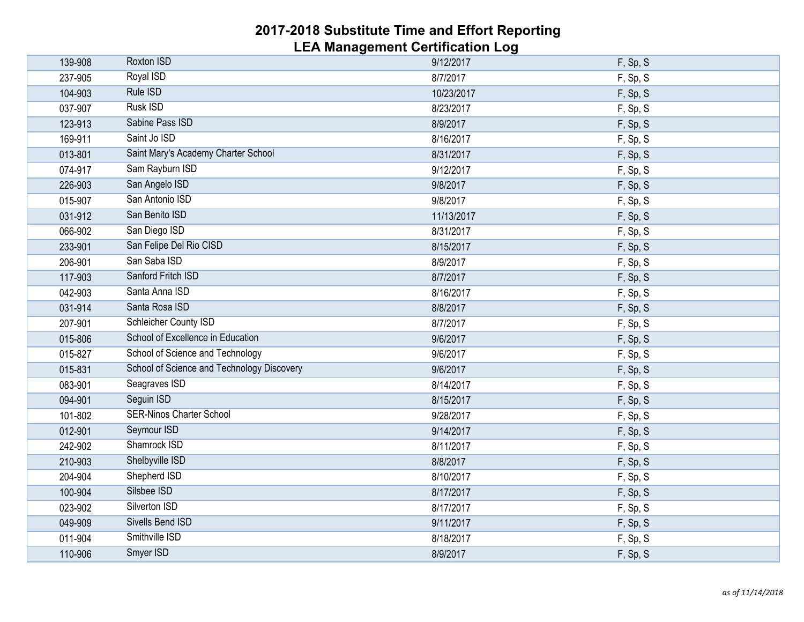| 139-908 | Roxton ISD                                 | 9/12/2017  | F, Sp, S |
|---------|--------------------------------------------|------------|----------|
| 237-905 | <b>Royal ISD</b>                           | 8/7/2017   | F, Sp, S |
| 104-903 | Rule ISD                                   | 10/23/2017 | F, Sp, S |
| 037-907 | <b>Rusk ISD</b>                            | 8/23/2017  | F, Sp, S |
| 123-913 | Sabine Pass ISD                            | 8/9/2017   | F, Sp, S |
| 169-911 | Saint Jo ISD                               | 8/16/2017  | F, Sp, S |
| 013-801 | Saint Mary's Academy Charter School        | 8/31/2017  | F, Sp, S |
| 074-917 | Sam Rayburn ISD                            | 9/12/2017  | F, Sp, S |
| 226-903 | San Angelo ISD                             | 9/8/2017   | F, Sp, S |
| 015-907 | San Antonio ISD                            | 9/8/2017   | F, Sp, S |
| 031-912 | San Benito ISD                             | 11/13/2017 | F, Sp, S |
| 066-902 | San Diego ISD                              | 8/31/2017  | F, Sp, S |
| 233-901 | San Felipe Del Rio CISD                    | 8/15/2017  | F, Sp, S |
| 206-901 | San Saba ISD                               | 8/9/2017   | F, Sp, S |
| 117-903 | Sanford Fritch ISD                         | 8/7/2017   | F, Sp, S |
| 042-903 | Santa Anna ISD                             | 8/16/2017  | F, Sp, S |
| 031-914 | Santa Rosa ISD                             | 8/8/2017   | F, Sp, S |
| 207-901 | <b>Schleicher County ISD</b>               | 8/7/2017   | F, Sp, S |
| 015-806 | School of Excellence in Education          | 9/6/2017   | F, Sp, S |
| 015-827 | School of Science and Technology           | 9/6/2017   | F, Sp, S |
| 015-831 | School of Science and Technology Discovery | 9/6/2017   | F, Sp, S |
| 083-901 | Seagraves ISD                              | 8/14/2017  | F, Sp, S |
| 094-901 | Seguin ISD                                 | 8/15/2017  | F, Sp, S |
| 101-802 | <b>SER-Ninos Charter School</b>            | 9/28/2017  | F, Sp, S |
| 012-901 | Seymour ISD                                | 9/14/2017  | F, Sp, S |
| 242-902 | Shamrock ISD                               | 8/11/2017  | F, Sp, S |
| 210-903 | Shelbyville ISD                            | 8/8/2017   | F, Sp, S |
| 204-904 | Shepherd ISD                               | 8/10/2017  | F, Sp, S |
| 100-904 | Silsbee ISD                                | 8/17/2017  | F, Sp, S |
| 023-902 | Silverton ISD                              | 8/17/2017  | F, Sp, S |
| 049-909 | Sivells Bend ISD                           | 9/11/2017  | F, Sp, S |
| 011-904 | Smithville ISD                             | 8/18/2017  | F, Sp, S |
| 110-906 | Smyer ISD                                  | 8/9/2017   | F, Sp, S |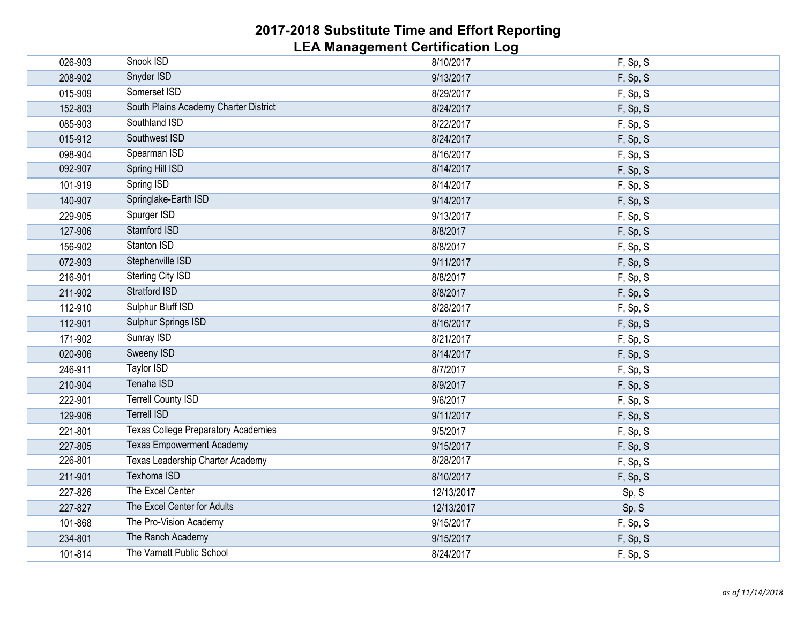| 026-903 | Snook ISD                                  | 8/10/2017  | F, Sp, S |
|---------|--------------------------------------------|------------|----------|
| 208-902 | Snyder ISD                                 | 9/13/2017  | F, Sp, S |
| 015-909 | Somerset ISD                               | 8/29/2017  | F, Sp, S |
| 152-803 | South Plains Academy Charter District      | 8/24/2017  | F, Sp, S |
| 085-903 | Southland ISD                              | 8/22/2017  | F, Sp, S |
| 015-912 | Southwest ISD                              | 8/24/2017  | F, Sp, S |
| 098-904 | Spearman ISD                               | 8/16/2017  | F, Sp, S |
| 092-907 | Spring Hill ISD                            | 8/14/2017  | F, Sp, S |
| 101-919 | Spring ISD                                 | 8/14/2017  | F, Sp, S |
| 140-907 | Springlake-Earth ISD                       | 9/14/2017  | F, Sp, S |
| 229-905 | Spurger ISD                                | 9/13/2017  | F, Sp, S |
| 127-906 | Stamford ISD                               | 8/8/2017   | F, Sp, S |
| 156-902 | Stanton ISD                                | 8/8/2017   | F, Sp, S |
| 072-903 | Stephenville ISD                           | 9/11/2017  | F, Sp, S |
| 216-901 | Sterling City ISD                          | 8/8/2017   | F, Sp, S |
| 211-902 | <b>Stratford ISD</b>                       | 8/8/2017   | F, Sp, S |
| 112-910 | Sulphur Bluff ISD                          | 8/28/2017  | F, Sp, S |
| 112-901 | <b>Sulphur Springs ISD</b>                 | 8/16/2017  | F, Sp, S |
| 171-902 | Sunray ISD                                 | 8/21/2017  | F, Sp, S |
| 020-906 | <b>Sweeny ISD</b>                          | 8/14/2017  | F, Sp, S |
| 246-911 | Taylor ISD                                 | 8/7/2017   | F, Sp, S |
| 210-904 | Tenaha ISD                                 | 8/9/2017   | F, Sp, S |
| 222-901 | <b>Terrell County ISD</b>                  | 9/6/2017   | F, Sp, S |
| 129-906 | <b>Terrell ISD</b>                         | 9/11/2017  | F, Sp, S |
| 221-801 | <b>Texas College Preparatory Academies</b> | 9/5/2017   | F, Sp, S |
| 227-805 | <b>Texas Empowerment Academy</b>           | 9/15/2017  | F, Sp, S |
| 226-801 | Texas Leadership Charter Academy           | 8/28/2017  | F, Sp, S |
| 211-901 | <b>Texhoma ISD</b>                         | 8/10/2017  | F, Sp, S |
| 227-826 | The Excel Center                           | 12/13/2017 | Sp, S    |
| 227-827 | The Excel Center for Adults                | 12/13/2017 | Sp, S    |
| 101-868 | The Pro-Vision Academy                     | 9/15/2017  | F, Sp, S |
| 234-801 | The Ranch Academy                          | 9/15/2017  | F, Sp, S |
| 101-814 | The Varnett Public School                  | 8/24/2017  | F, Sp, S |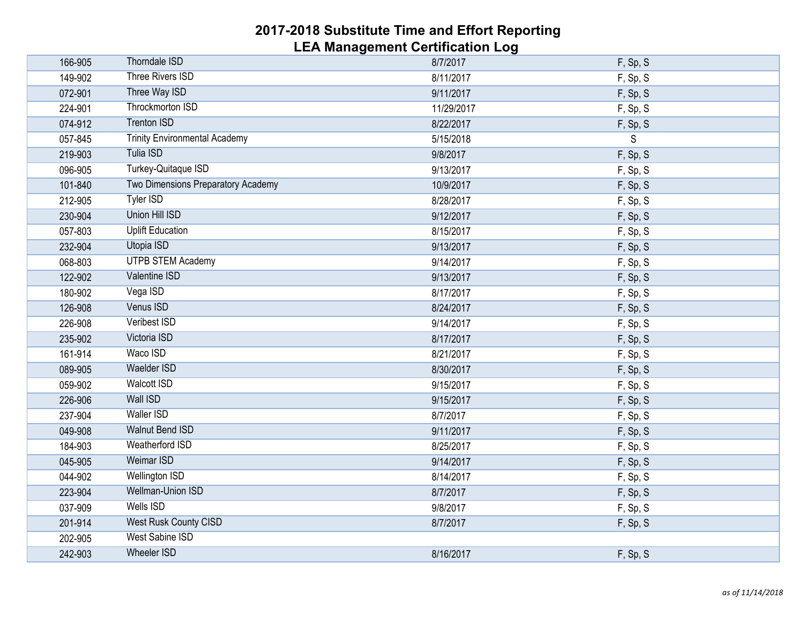| 166-905 | <b>Thorndale ISD</b>                 | 8/7/2017   | F, Sp, S |
|---------|--------------------------------------|------------|----------|
| 149-902 | <b>Three Rivers ISD</b>              | 8/11/2017  | F, Sp, S |
| 072-901 | Three Way ISD                        | 9/11/2017  | F, Sp, S |
| 224-901 | <b>Throckmorton ISD</b>              | 11/29/2017 | F, Sp, S |
| 074-912 | <b>Trenton ISD</b>                   | 8/22/2017  | F, Sp, S |
| 057-845 | <b>Trinity Environmental Academy</b> | 5/15/2018  | S        |
| 219-903 | <b>Tulia ISD</b>                     | 9/8/2017   | F, Sp, S |
| 096-905 | Turkey-Quitaque ISD                  | 9/13/2017  | F, Sp, S |
| 101-840 | Two Dimensions Preparatory Academy   | 10/9/2017  | F, Sp, S |
| 212-905 | <b>Tyler ISD</b>                     | 8/28/2017  | F, Sp, S |
| 230-904 | <b>Union Hill ISD</b>                | 9/12/2017  | F, Sp, S |
| 057-803 | <b>Uplift Education</b>              | 8/15/2017  | F, Sp, S |
| 232-904 | Utopia ISD                           | 9/13/2017  | F, Sp, S |
| 068-803 | <b>UTPB STEM Academy</b>             | 9/14/2017  | F, Sp, S |
| 122-902 | Valentine ISD                        | 9/13/2017  | F, Sp, S |
| 180-902 | Vega ISD                             | 8/17/2017  | F, Sp, S |
| 126-908 | Venus ISD                            | 8/24/2017  | F, Sp, S |
| 226-908 | Veribest ISD                         | 9/14/2017  | F, Sp, S |
| 235-902 | Victoria ISD                         | 8/17/2017  | F, Sp, S |
| 161-914 | Waco ISD                             | 8/21/2017  | F, Sp, S |
| 089-905 | <b>Waelder ISD</b>                   | 8/30/2017  | F, Sp, S |
| 059-902 | <b>Walcott ISD</b>                   | 9/15/2017  | F, Sp, S |
| 226-906 | <b>Wall ISD</b>                      | 9/15/2017  | F, Sp, S |
| 237-904 | <b>Waller ISD</b>                    | 8/7/2017   | F, Sp, S |
| 049-908 | <b>Walnut Bend ISD</b>               | 9/11/2017  | F, Sp, S |
| 184-903 | <b>Weatherford ISD</b>               | 8/25/2017  | F, Sp, S |
| 045-905 | <b>Weimar ISD</b>                    | 9/14/2017  | F, Sp, S |
| 044-902 | <b>Wellington ISD</b>                | 8/14/2017  | F, Sp, S |
| 223-904 | <b>Wellman-Union ISD</b>             | 8/7/2017   | F, Sp, S |
| 037-909 | <b>Wells ISD</b>                     | 9/8/2017   | F, Sp, S |
| 201-914 | <b>West Rusk County CISD</b>         | 8/7/2017   | F, Sp, S |
| 202-905 | <b>West Sabine ISD</b>               |            |          |
| 242-903 | <b>Wheeler ISD</b>                   | 8/16/2017  | F, Sp, S |